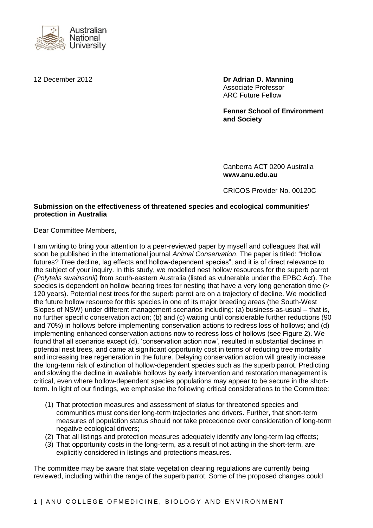

12 December 2012 **Dr Adrian D. Manning** Associate Professor ARC Future Fellow

> **Fenner School of Environment and Society**

Canberra ACT 0200 Australia **www.anu.edu.au**

CRICOS Provider No. 00120C

## **Submission on the effectiveness of threatened species and ecological communities' protection in Australia**

Dear Committee Members,

I am writing to bring your attention to a peer-reviewed paper by myself and colleagues that will soon be published in the international journal *Animal Conservation*. The paper is titled: "Hollow futures? Tree decline, lag effects and hollow-dependent species", and it is of direct relevance to the subject of your inquiry. In this study, we modelled nest hollow resources for the superb parrot (*Polytelis swainsonii)* from south-eastern Australia (listed as vulnerable under the EPBC Act). The species is dependent on hollow bearing trees for nesting that have a very long generation time (> 120 years). Potential nest trees for the superb parrot are on a trajectory of decline. We modelled the future hollow resource for this species in one of its major breeding areas (the South-West Slopes of NSW) under different management scenarios including: (a) business-as-usual – that is, no further specific conservation action; (b) and (c) waiting until considerable further reductions (90 and 70%) in hollows before implementing conservation actions to redress loss of hollows; and (d) implementing enhanced conservation actions now to redress loss of hollows (see Figure 2). We found that all scenarios except (d), 'conservation action now', resulted in substantial declines in potential nest trees, and came at significant opportunity cost in terms of reducing tree mortality and increasing tree regeneration in the future. Delaying conservation action will greatly increase the long-term risk of extinction of hollow-dependent species such as the superb parrot. Predicting and slowing the decline in available hollows by early intervention and restoration management is critical, even where hollow-dependent species populations may appear to be secure in the shortterm. In light of our findings, we emphasise the following critical considerations to the Committee:

- (1) That protection measures and assessment of status for threatened species and communities must consider long-term trajectories and drivers. Further, that short-term measures of population status should not take precedence over consideration of long-term negative ecological drivers;
- (2) That all listings and protection measures adequately identify any long-term lag effects;
- (3) That opportunity costs in the long-term, as a result of not acting in the short-term, are explicitly considered in listings and protections measures.

The committee may be aware that state vegetation clearing regulations are currently being reviewed, including within the range of the superb parrot. Some of the proposed changes could